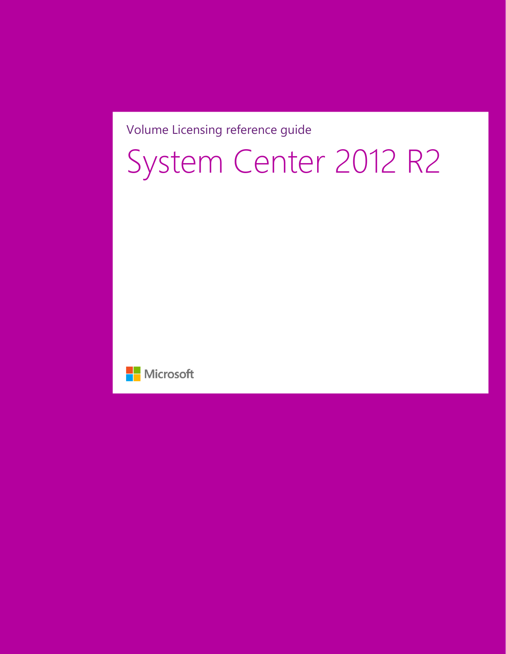#### Volume Licensing reference guide

# System Center 2012 R2

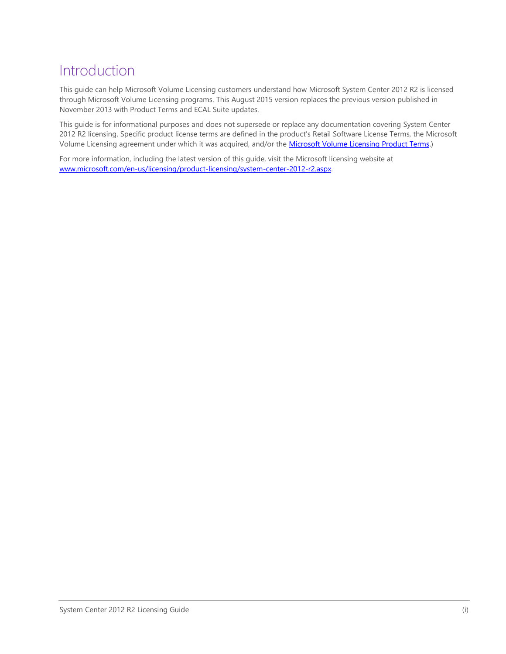### Introduction

This guide can help Microsoft Volume Licensing customers understand how Microsoft System Center 2012 R2 is licensed through Microsoft Volume Licensing programs. This August 2015 version replaces the previous version published in November 2013 with Product Terms and ECAL Suite updates.

This guide is for informational purposes and does not supersede or replace any documentation covering System Center 2012 R2 licensing. Specific product license terms are defined in the product's Retail Software License Terms, the Microsoft Volume Licensing agreement under which it was acquired, and/or th[e Microsoft Volume Licensing Product](http://www.microsoft.com/en-us/licensing/product-licensing/products.aspx) Terms.)

For more information, including the latest version of this guide, visit the Microsoft licensing website at [www.microsoft.com/en-us/licensing/product-licensing/system-center-2012-r2.aspx.](http://www.microsoft.com/en-us/licensing/product-licensing/system-center-2012-r2.aspx)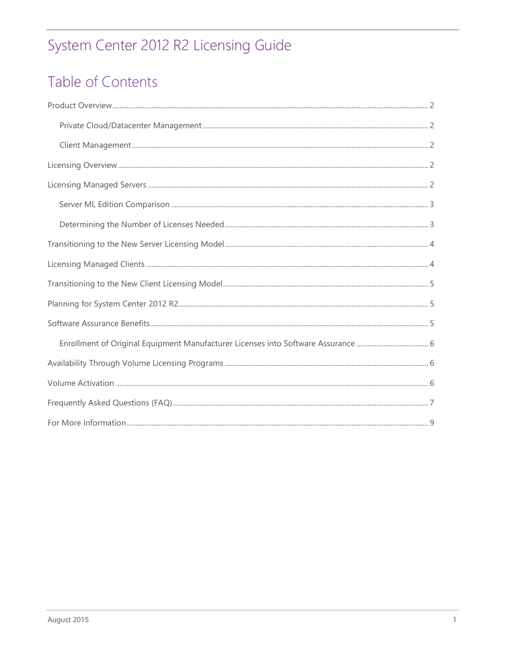# Table of Contents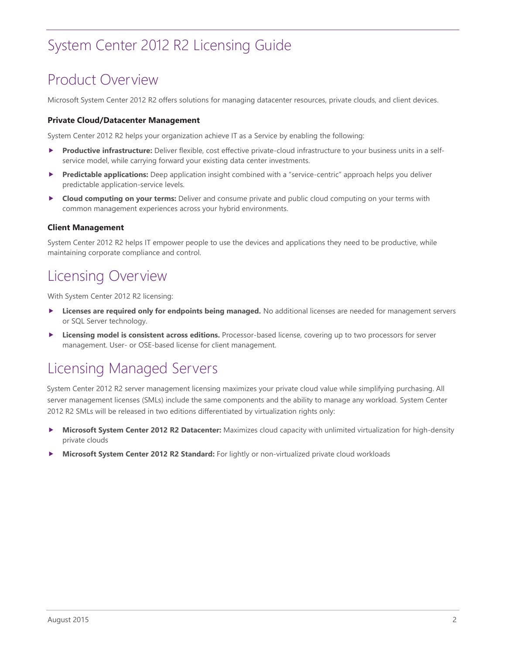### <span id="page-3-0"></span>Product Overview

Microsoft System Center 2012 R2 offers solutions for managing datacenter resources, private clouds, and client devices.

#### <span id="page-3-1"></span>**Private Cloud/Datacenter Management**

System Center 2012 R2 helps your organization achieve IT as a Service by enabling the following:

- **Productive infrastructure:** Deliver flexible, cost effective private-cloud infrastructure to your business units in a selfservice model, while carrying forward your existing data center investments.
- **Predictable applications:** Deep application insight combined with a "service-centric" approach helps you deliver predictable application-service levels.
- **Cloud computing on your terms:** Deliver and consume private and public cloud computing on your terms with common management experiences across your hybrid environments.

#### <span id="page-3-2"></span>**Client Management**

System Center 2012 R2 helps IT empower people to use the devices and applications they need to be productive, while maintaining corporate compliance and control.

#### <span id="page-3-3"></span>Licensing Overview

With System Center 2012 R2 licensing:

- **Licenses are required only for endpoints being managed.** No additional licenses are needed for management servers or SQL Server technology.
- **Licensing model is consistent across editions.** Processor-based license, covering up to two processors for server management. User- or OSE-based license for client management.

### <span id="page-3-4"></span>Licensing Managed Servers

System Center 2012 R2 server management licensing maximizes your private cloud value while simplifying purchasing. All server management licenses (SMLs) include the same components and the ability to manage any workload. System Center 2012 R2 SMLs will be released in two editions differentiated by virtualization rights only:

- **Microsoft System Center 2012 R2 Datacenter:** Maximizes cloud capacity with unlimited virtualization for high-density private clouds
- **Microsoft System Center 2012 R2 Standard:** For lightly or non-virtualized private cloud workloads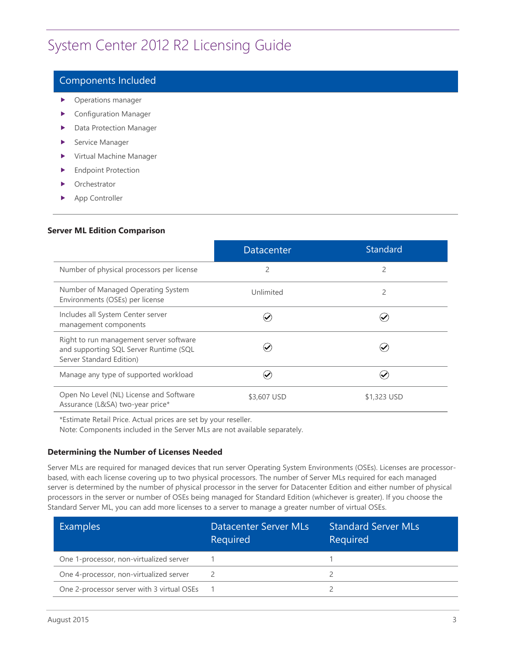#### Components Included

- **Derations manager**
- Configuration Manager
- **Data Protection Manager**
- Service Manager
- Virtual Machine Manager
- **Endpoint Protection**
- Orchestrator
- ▶ App Controller

#### <span id="page-4-0"></span>**Server ML Edition Comparison**

|                                                                                                               | <b>Datacenter</b> | <b>Standard</b> |
|---------------------------------------------------------------------------------------------------------------|-------------------|-----------------|
| Number of physical processors per license                                                                     | $\overline{2}$    | $\overline{2}$  |
| Number of Managed Operating System<br>Environments (OSEs) per license                                         | Unlimited         | 2               |
| Includes all System Center server<br>management components                                                    |                   |                 |
| Right to run management server software<br>and supporting SQL Server Runtime (SQL<br>Server Standard Edition) |                   |                 |
| Manage any type of supported workload                                                                         |                   |                 |
| Open No Level (NL) License and Software<br>Assurance (L&SA) two-year price*                                   | \$3,607 USD       | \$1,323 USD     |

\*Estimate Retail Price. Actual prices are set by your reseller.

Note: Components included in the Server MLs are not available separately.

#### <span id="page-4-1"></span>**Determining the Number of Licenses Needed**

Server MLs are required for managed devices that run server Operating System Environments (OSEs). Licenses are processorbased, with each license covering up to two physical processors. The number of Server MLs required for each managed server is determined by the number of physical processor in the server for Datacenter Edition and either number of physical processors in the server or number of OSEs being managed for Standard Edition (whichever is greater). If you choose the Standard Server ML, you can add more licenses to a server to manage a greater number of virtual OSEs.

| <b>Examples</b>                            | Datacenter Server MLs<br>Required | <b>Standard Server MLs</b><br>Required |
|--------------------------------------------|-----------------------------------|----------------------------------------|
| One 1-processor, non-virtualized server    |                                   |                                        |
| One 4-processor, non-virtualized server    |                                   |                                        |
| One 2-processor server with 3 virtual OSEs |                                   |                                        |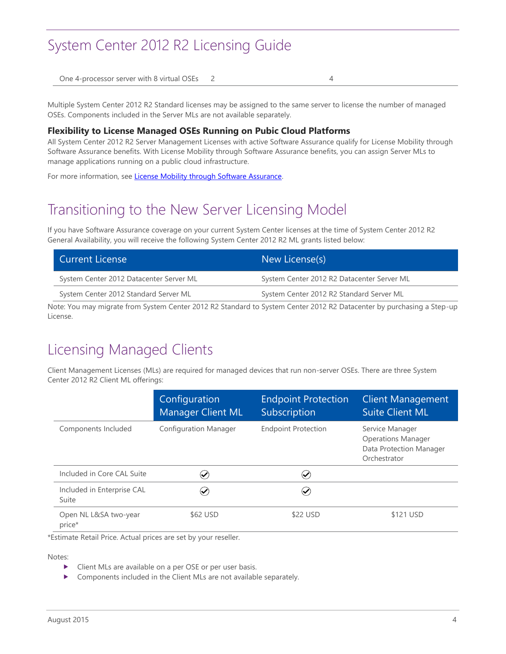One 4-processor server with 8 virtual OSEs 2 4 4

Multiple System Center 2012 R2 Standard licenses may be assigned to the same server to license the number of managed OSEs. Components included in the Server MLs are not available separately.

#### **Flexibility to License Managed OSEs Running on Pubic Cloud Platforms**

All System Center 2012 R2 Server Management Licenses with active Software Assurance qualify for License Mobility through Software Assurance benefits. With License Mobility through Software Assurance benefits, you can assign Server MLs to manage applications running on a public cloud infrastructure.

<span id="page-5-0"></span>For more information, se[e License Mobility through Software Assurance.](http://www.microsoft.com/en-us/licensing/licensing-programs/software-assurance-license-mobility.aspx#tab=2)

### Transitioning to the New Server Licensing Model

If you have Software Assurance coverage on your current System Center licenses at the time of System Center 2012 R2 General Availability, you will receive the following System Center 2012 R2 ML grants listed below:

| <b>Current License</b>                  | New License(s)                             |
|-----------------------------------------|--------------------------------------------|
| System Center 2012 Datacenter Server ML | System Center 2012 R2 Datacenter Server ML |
| System Center 2012 Standard Server ML   | System Center 2012 R2 Standard Server ML   |
|                                         |                                            |

Note: You may migrate from System Center 2012 R2 Standard to System Center 2012 R2 Datacenter by purchasing a Step-up License.

### <span id="page-5-1"></span>Licensing Managed Clients

Client Management Licenses (MLs) are required for managed devices that run non-server OSEs. There are three System Center 2012 R2 Client ML offerings:

|                                     | Configuration<br><b>Manager Client ML</b> | <b>Endpoint Protection</b><br>Subscription | <b>Client Management</b><br><b>Suite Client ML</b>                                      |
|-------------------------------------|-------------------------------------------|--------------------------------------------|-----------------------------------------------------------------------------------------|
| Components Included                 | <b>Configuration Manager</b>              | <b>Endpoint Protection</b>                 | Service Manager<br><b>Operations Manager</b><br>Data Protection Manager<br>Orchestrator |
| Included in Core CAL Suite          | $(\blacktriangledown)$                    | $\checkmark$                               |                                                                                         |
| Included in Enterprise CAL<br>Suite | $(\blacktriangledown)$                    | $\boldsymbol{\mathcal{U}}$                 |                                                                                         |
| Open NL L&SA two-year<br>price*     | \$62 USD                                  | \$22 USD                                   | \$121 USD                                                                               |

\*Estimate Retail Price. Actual prices are set by your reseller.

Notes:

- ▶ Client MLs are available on a per OSE or per user basis.
- **DED Components included in the Client MLs are not available separately.**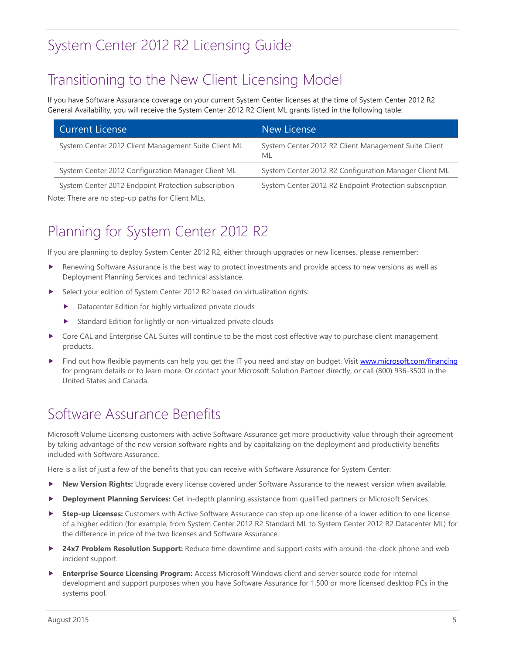### <span id="page-6-0"></span>Transitioning to the New Client Licensing Model

If you have Software Assurance coverage on your current System Center licenses at the time of System Center 2012 R2 General Availability, you will receive the System Center 2012 R2 Client ML grants listed in the following table:

| <b>Current License</b>                                                                                                                                                                                                         | New License                                                |
|--------------------------------------------------------------------------------------------------------------------------------------------------------------------------------------------------------------------------------|------------------------------------------------------------|
| System Center 2012 Client Management Suite Client ML                                                                                                                                                                           | System Center 2012 R2 Client Management Suite Client<br>ML |
| System Center 2012 Configuration Manager Client ML                                                                                                                                                                             | System Center 2012 R2 Configuration Manager Client ML      |
| System Center 2012 Endpoint Protection subscription                                                                                                                                                                            | System Center 2012 R2 Endpoint Protection subscription     |
| the set of the contract of the contract of the set of the contract of the contract of the contract of the contract of the contract of the contract of the contract of the contract of the contract of the contract of the cont |                                                            |

<span id="page-6-1"></span>Note: There are no step-up paths for Client MLs.

# Planning for System Center 2012 R2

If you are planning to deploy System Center 2012 R2, either through upgrades or new licenses, please remember:

- **Renewing Software Assurance is the best way to protect investments and provide access to new versions as well as** Deployment Planning Services and technical assistance.
- Select your edition of System Center 2012 R2 based on virtualization rights:
	- Datacenter Edition for highly virtualized private clouds
	- Standard Edition for lightly or non-virtualized private clouds
- ▶ Core CAL and Enterprise CAL Suites will continue to be the most cost effective way to purchase client management products.
- Find ou[t](http://www.microsoft.com/financing) how flexible payments can help you get the IT you need and stay on budget. Visit [www.microsoft.com/financing](http://www.microsoft.com/financing) for program details or to learn more. Or contact your Microsoft Solution Partner directly, or call (800) 936-3500 in the United States and Canada.

### <span id="page-6-2"></span>Software Assurance Benefits

Microsoft Volume Licensing customers with active Software Assurance get more productivity value through their agreement by taking advantage of the new version software rights and by capitalizing on the deployment and productivity benefits included with Software Assurance.

Here is a list of just a few of the benefits that you can receive with Software Assurance for System Center:

- **New Version Rights:** Upgrade every license covered under Software Assurance to the newest version when available.
- **Deployment Planning Services:** Get in-depth planning assistance from qualified partners or Microsoft Services.
- ▶ Step-up Licenses: Customers with Active Software Assurance can step up one license of a lower edition to one license of a higher edition (for example, from System Center 2012 R2 Standard ML to System Center 2012 R2 Datacenter ML) for the difference in price of the two licenses and Software Assurance.
- **24x7 Problem Resolution Support:** Reduce time downtime and support costs with around-the-clock phone and web incident support.
- **Enterprise Source Licensing Program:** Access Microsoft Windows client and server source code for internal development and support purposes when you have Software Assurance for 1,500 or more licensed desktop PCs in the systems pool.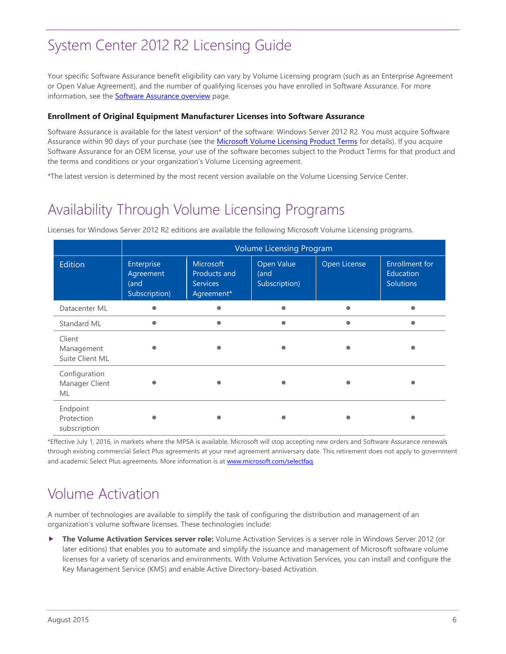Your specific Software Assurance benefit eligibility can vary by Volume Licensing program (such as an Enterprise Agreement or Open Value Agreement), and the number of qualifying licenses you have enrolled in Software Assurance. For more information, see the **Software Assurance overview** page.

#### <span id="page-7-0"></span>**Enrollment of Original Equipment Manufacturer Licenses into Software Assurance**

Software Assurance is available for the latest version\* of the software: Windows Server 2012 R2. You must acquire Software Assurance within 90 days of your purchase (see the [Microsoft Volume Licensing Product Terms](http://www.microsoft.com/en-us/licensing/product-licensing/products.aspx) for details). If you acquire Software Assurance for an OEM license, your use of the software becomes subject to the Product Terms for that product and the terms and conditions or your organization's Volume Licensing agreement.

<span id="page-7-1"></span>\*The latest version is determined by the most recent version available on the Volume Licensing Service Center.

### Availability Through Volume Licensing Programs

|                                         | <b>Volume Licensing Program</b>                  |                                                                   |                                     |              |                                                        |
|-----------------------------------------|--------------------------------------------------|-------------------------------------------------------------------|-------------------------------------|--------------|--------------------------------------------------------|
| Edition                                 | Enterprise<br>Agreement<br>(and<br>Subscription) | <b>Microsoft</b><br>Products and<br><b>Services</b><br>Agreement* | Open Value<br>(and<br>Subscription) | Open License | <b>Enrollment for</b><br>Education<br><b>Solutions</b> |
| Datacenter ML                           |                                                  |                                                                   |                                     |              |                                                        |
| Standard ML                             |                                                  |                                                                   |                                     |              |                                                        |
| Client<br>Management<br>Suite Client ML |                                                  |                                                                   |                                     |              |                                                        |
| Configuration<br>Manager Client<br>ML   |                                                  |                                                                   |                                     |              |                                                        |
| Endpoint<br>Protection<br>subscription  |                                                  |                                                                   |                                     |              |                                                        |

Licenses for Windows Server 2012 R2 editions are available the following Microsoft Volume Licensing programs.

\*Effective July 1, 2016, in markets where the MPSA is available, Microsoft will stop accepting new orders and Software Assurance renewals through existing commercial Select Plus agreements at your next agreement anniversary date. This retirement does not apply to government and academic Select Plus agreements. More information is at [www.microsoft.com/selectfaq.](http://www.microsoft.com/selectfaq)

### <span id="page-7-2"></span>Volume Activation

A number of technologies are available to simplify the task of configuring the distribution and management of an organization's volume software licenses. These technologies include:

 **The Volume Activation Services server role:** Volume Activation Services is a server role in Windows Server 2012 (or later editions) that enables you to automate and simplify the issuance and management of Microsoft software volume licenses for a variety of scenarios and environments. With Volume Activation Services, you can install and configure the Key Management Service (KMS) and enable Active Directory-based Activation.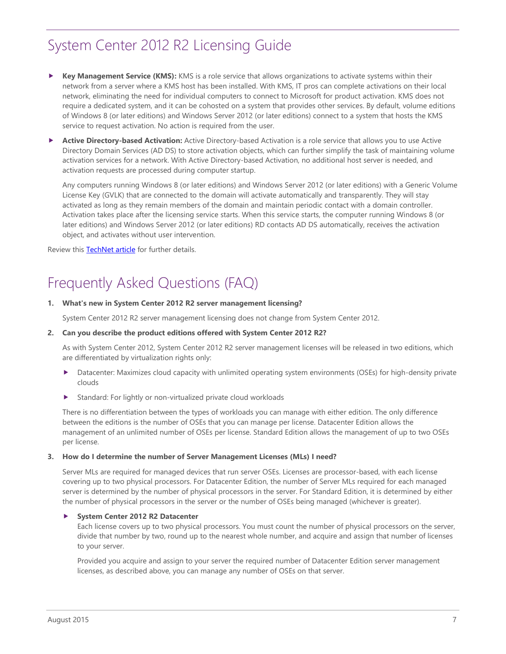- **Key Management Service (KMS):** KMS is a role service that allows organizations to activate systems within their network from a server where a KMS host has been installed. With KMS, IT pros can complete activations on their local network, eliminating the need for individual computers to connect to Microsoft for product activation. KMS does not require a dedicated system, and it can be cohosted on a system that provides other services. By default, volume editions of Windows 8 (or later editions) and Windows Server 2012 (or later editions) connect to a system that hosts the KMS service to request activation. No action is required from the user.
- **Active Directory-based Activation:** Active Directory-based Activation is a role service that allows you to use Active Directory Domain Services (AD DS) to store activation objects, which can further simplify the task of maintaining volume activation services for a network. With Active Directory-based Activation, no additional host server is needed, and activation requests are processed during computer startup.

Any computers running Windows 8 (or later editions) and Windows Server 2012 (or later editions) with a Generic Volume License Key (GVLK) that are connected to the domain will activate automatically and transparently. They will stay activated as long as they remain members of the domain and maintain periodic contact with a domain controller. Activation takes place after the licensing service starts. When this service starts, the computer running Windows 8 (or later editions) and Windows Server 2012 (or later editions) RD contacts AD DS automatically, receives the activation object, and activates without user intervention.

<span id="page-8-0"></span>Review this **TechNet article** for further details.

### Frequently Asked Questions (FAQ)

#### **1. What's new in System Center 2012 R2 server management licensing?**

System Center 2012 R2 server management licensing does not change from System Center 2012.

#### **2. Can you describe the product editions offered with System Center 2012 R2?**

As with System Center 2012, System Center 2012 R2 server management licenses will be released in two editions, which are differentiated by virtualization rights only:

- Datacenter: Maximizes cloud capacity with unlimited operating system environments (OSEs) for high-density private clouds
- Standard: For lightly or non-virtualized private cloud workloads

There is no differentiation between the types of workloads you can manage with either edition. The only difference between the editions is the number of OSEs that you can manage per license. Datacenter Edition allows the management of an unlimited number of OSEs per license. Standard Edition allows the management of up to two OSEs per license.

#### **3. How do I determine the number of Server Management Licenses (MLs) I need?**

Server MLs are required for managed devices that run server OSEs. Licenses are processor-based, with each license covering up to two physical processors. For Datacenter Edition, the number of Server MLs required for each managed server is determined by the number of physical processors in the server. For Standard Edition, it is determined by either the number of physical processors in the server or the number of OSEs being managed (whichever is greater).

#### **System Center 2012 R2 Datacenter**

Each license covers up to two physical processors. You must count the number of physical processors on the server, divide that number by two, round up to the nearest whole number, and acquire and assign that number of licenses to your server.

Provided you acquire and assign to your server the required number of Datacenter Edition server management licenses, as described above, you can manage any number of OSEs on that server.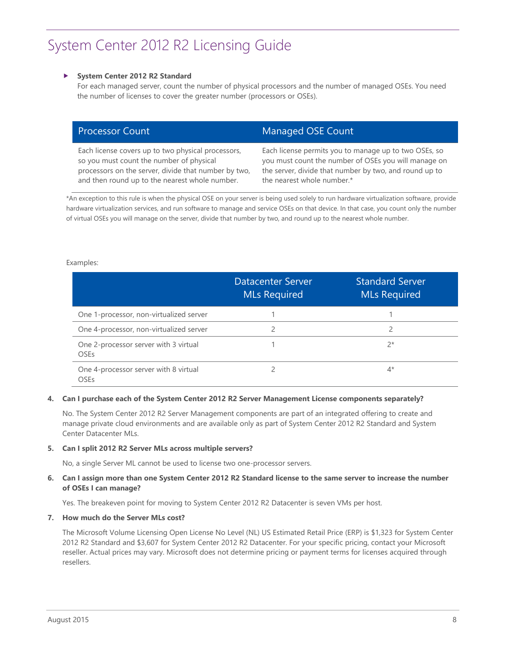#### **System Center 2012 R2 Standard**

For each managed server, count the number of physical processors and the number of managed OSEs. You need the number of licenses to cover the greater number (processors or OSEs).

| <b>Processor Count</b>                               | Managed OSE Count                                      |
|------------------------------------------------------|--------------------------------------------------------|
| Each license covers up to two physical processors,   | Each license permits you to manage up to two OSEs, so  |
| so you must count the number of physical             | you must count the number of OSEs you will manage on   |
| processors on the server, divide that number by two, | the server, divide that number by two, and round up to |
| and then round up to the nearest whole number.       | the nearest whole number.*                             |

\*An exception to this rule is when the physical OSE on your server is being used solely to run hardware virtualization software, provide hardware virtualization services, and run software to manage and service OSEs on that device. In that case, you count only the number of virtual OSEs you will manage on the server, divide that number by two, and round up to the nearest whole number.

#### Examples:

|                                                      | <b>Datacenter Server</b><br><b>MLs Required</b> | <b>Standard Server</b><br><b>MLs Required</b> |
|------------------------------------------------------|-------------------------------------------------|-----------------------------------------------|
| One 1-processor, non-virtualized server              |                                                 |                                               |
| One 4-processor, non-virtualized server              |                                                 |                                               |
| One 2-processor server with 3 virtual<br><b>OSEs</b> |                                                 | $2*$                                          |
| One 4-processor server with 8 virtual<br>OSEs        |                                                 | 4*                                            |

#### **4. Can I purchase each of the System Center 2012 R2 Server Management License components separately?**

No. The System Center 2012 R2 Server Management components are part of an integrated offering to create and manage private cloud environments and are available only as part of System Center 2012 R2 Standard and System Center Datacenter MLs.

#### **5. Can I split 2012 R2 Server MLs across multiple servers?**

No, a single Server ML cannot be used to license two one-processor servers.

#### **6. Can I assign more than one System Center 2012 R2 Standard license to the same server to increase the number of OSEs I can manage?**

Yes. The breakeven point for moving to System Center 2012 R2 Datacenter is seven VMs per host.

#### **7. How much do the Server MLs cost?**

The Microsoft Volume Licensing Open License No Level (NL) US Estimated Retail Price (ERP) is \$1,323 for System Center 2012 R2 Standard and \$3,607 for System Center 2012 R2 Datacenter. For your specific pricing, contact your Microsoft reseller. Actual prices may vary. Microsoft does not determine pricing or payment terms for licenses acquired through resellers.